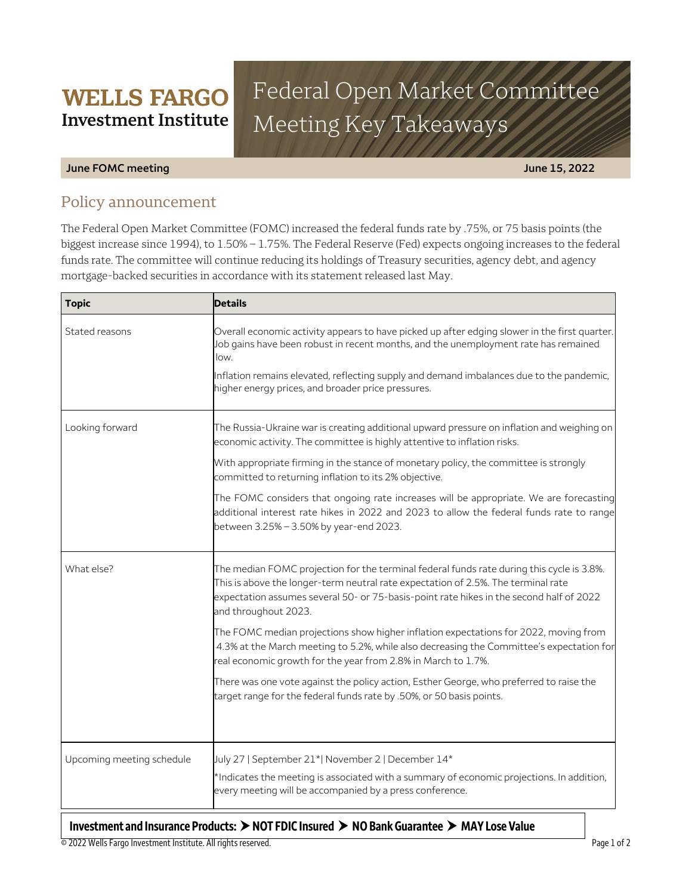# Federal Open Market Committee Meeting Key Takeaways

### **June FOMC meeting June 15, 2022**

# Policy announcement

**WELLS FARGO Investment Institute** 

The Federal Open Market Committee (FOMC) increased the federal funds rate by .75%, or 75 basis points (the biggest increase since 1994), to 1.50% – 1.75%. The Federal Reserve (Fed) expects ongoing increases to the federal funds rate. The committee will continue reducing its holdings of Treasury securities, agency debt, and agency mortgage-backed securities in accordance with its statement released last May.

| <b>Topic</b>              | <b>Details</b>                                                                                                                                                                                                                                                                                    |
|---------------------------|---------------------------------------------------------------------------------------------------------------------------------------------------------------------------------------------------------------------------------------------------------------------------------------------------|
| Stated reasons            | Overall economic activity appears to have picked up after edging slower in the first quarter.<br>Job gains have been robust in recent months, and the unemployment rate has remained<br>low.                                                                                                      |
|                           | Inflation remains elevated, reflecting supply and demand imbalances due to the pandemic,<br>higher energy prices, and broader price pressures.                                                                                                                                                    |
| Looking forward           | The Russia-Ukraine war is creating additional upward pressure on inflation and weighing on<br>economic activity. The committee is highly attentive to inflation risks.                                                                                                                            |
|                           | With appropriate firming in the stance of monetary policy, the committee is strongly<br>committed to returning inflation to its 2% objective.                                                                                                                                                     |
|                           | The FOMC considers that ongoing rate increases will be appropriate. We are forecasting<br>additional interest rate hikes in 2022 and 2023 to allow the federal funds rate to range<br>between 3.25% - 3.50% by year-end 2023.                                                                     |
| What else?                | The median FOMC projection for the terminal federal funds rate during this cycle is 3.8%.<br>This is above the longer-term neutral rate expectation of 2.5%. The terminal rate<br>expectation assumes several 50- or 75-basis-point rate hikes in the second half of 2022<br>and throughout 2023. |
|                           | The FOMC median projections show higher inflation expectations for 2022, moving from<br>4.3% at the March meeting to 5.2%, while also decreasing the Committee's expectation for<br>real economic growth for the year from 2.8% in March to 1.7%.                                                 |
|                           | There was one vote against the policy action, Esther George, who preferred to raise the<br>target range for the federal funds rate by .50%, or 50 basis points.                                                                                                                                   |
|                           |                                                                                                                                                                                                                                                                                                   |
| Upcoming meeting schedule | July 27   September 21*  November 2   December 14*                                                                                                                                                                                                                                                |
|                           | *Indicates the meeting is associated with a summary of economic projections. In addition,<br>every meeting will be accompanied by a press conference.                                                                                                                                             |

## **Investment and Insurance Products: NOT FDIC Insured NO Bank Guarantee MAY Lose Value**

© 2022 Wells Fargo Investment Institute. All rights reserved. Page 1 of 2